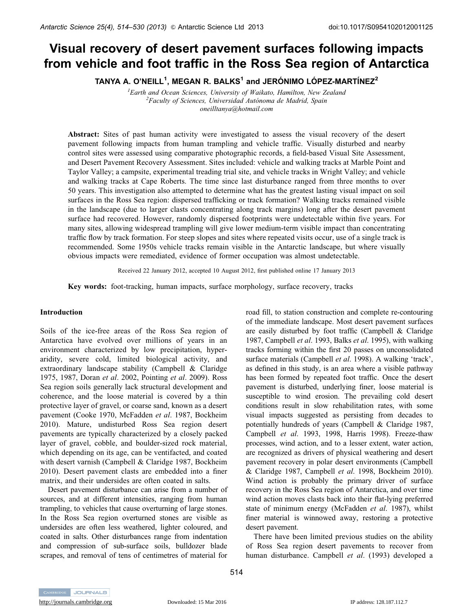# Visual recovery of desert pavement surfaces following impacts from vehicle and foot traffic in the Ross Sea region of Antarctica

TANYA A. O'NEILL $^{\mathsf{1}}$ , MEGAN R. BALKS $^{\mathsf{1}}$  and JERÓNIMO LÓPEZ-MARTÍNEZ $^{\mathsf{2}}$ 

*1 Earth and Ocean Sciences, University of Waikato, Hamilton, New Zealand <sup>2</sup>* <sup>2</sup> Faculty of Sciences, Universidad Autónoma de Madrid, Spain *oneilltanya@hotmail.com*

**Abstract:** Sites of past human activity were investigated to assess the visual recovery of the desert pavement following impacts from human trampling and vehicle traffic. Visually disturbed and nearby control sites were assessed using comparative photographic records, a field-based Visual Site Assessment, and Desert Pavement Recovery Assessment. Sites included: vehicle and walking tracks at Marble Point and Taylor Valley; a campsite, experimental treading trial site, and vehicle tracks in Wright Valley; and vehicle and walking tracks at Cape Roberts. The time since last disturbance ranged from three months to over 50 years. This investigation also attempted to determine what has the greatest lasting visual impact on soil surfaces in the Ross Sea region: dispersed trafficking or track formation? Walking tracks remained visible in the landscape (due to larger clasts concentrating along track margins) long after the desert pavement surface had recovered. However, randomly dispersed footprints were undetectable within five years. For many sites, allowing widespread trampling will give lower medium-term visible impact than concentrating traffic flow by track formation. For steep slopes and sites where repeated visits occur, use of a single track is recommended. Some 1950s vehicle tracks remain visible in the Antarctic landscape, but where visually obvious impacts were remediated, evidence of former occupation was almost undetectable.

Received 22 January 2012, accepted 10 August 2012, first published online 17 January 2013

**Key words:** foot-tracking, human impacts, surface morphology, surface recovery, tracks

### **Introduction**

Soils of the ice-free areas of the Ross Sea region of Antarctica have evolved over millions of years in an environment characterized by low precipitation, hyperaridity, severe cold, limited biological activity, and extraordinary landscape stability (Campbell & Claridge 1975, 1987, Doran *et al*. 2002, Pointing *et al*. 2009). Ross Sea region soils generally lack structural development and coherence, and the loose material is covered by a thin protective layer of gravel, or coarse sand, known as a desert pavement (Cooke 1970, McFadden *et al*. 1987, Bockheim 2010). Mature, undisturbed Ross Sea region desert pavements are typically characterized by a closely packed layer of gravel, cobble, and boulder-sized rock material, which depending on its age, can be ventifacted, and coated with desert varnish (Campbell & Claridge 1987, Bockheim 2010). Desert pavement clasts are embedded into a finer matrix, and their undersides are often coated in salts.

Desert pavement disturbance can arise from a number of sources, and at different intensities, ranging from human trampling, to vehicles that cause overturning of large stones. In the Ross Sea region overturned stones are visible as undersides are often less weathered, lighter coloured, and coated in salts. Other disturbances range from indentation and compression of sub-surface soils, bulldozer blade scrapes, and removal of tens of centimetres of material for

road fill, to station construction and complete re-contouring of the immediate landscape. Most desert pavement surfaces are easily disturbed by foot traffic (Campbell & Claridge 1987, Campbell *et al*. 1993, Balks *et al*. 1995), with walking tracks forming within the first 20 passes on unconsolidated surface materials (Campbell *et al*. 1998). A walking 'track', as defined in this study, is an area where a visible pathway has been formed by repeated foot traffic. Once the desert pavement is disturbed, underlying finer, loose material is susceptible to wind erosion. The prevailing cold desert conditions result in slow rehabilitation rates, with some visual impacts suggested as persisting from decades to potentially hundreds of years (Campbell & Claridge 1987, Campbell *et al*. 1993, 1998, Harris 1998). Freeze-thaw processes, wind action, and to a lesser extent, water action, are recognized as drivers of physical weathering and desert pavement recovery in polar desert environments (Campbell & Claridge 1987, Campbell *et al*. 1998, Bockheim 2010). Wind action is probably the primary driver of surface recovery in the Ross Sea region of Antarctica, and over time wind action moves clasts back into their flat-lying preferred state of minimum energy (McFadden *et al*. 1987), whilst finer material is winnowed away, restoring a protective desert pavement.

There have been limited previous studies on the ability of Ross Sea region desert pavements to recover from human disturbance. Campbell *et al*. (1993) developed a

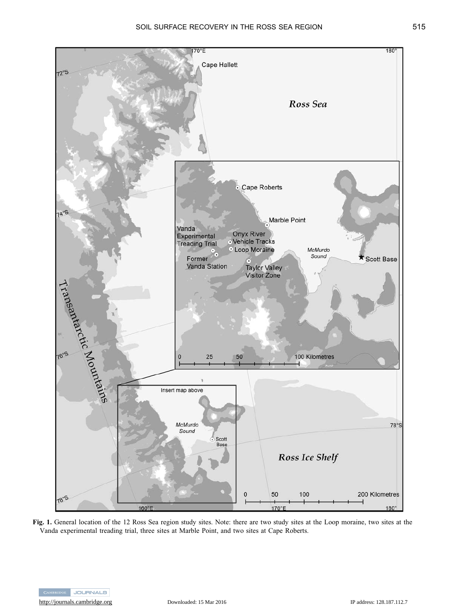

**Fig. 1.** General location of the 12 Ross Sea region study sites. Note: there are two study sites at the Loop moraine, two sites at the Vanda experimental treading trial, three sites at Marble Point, and two sites at Cape Roberts.

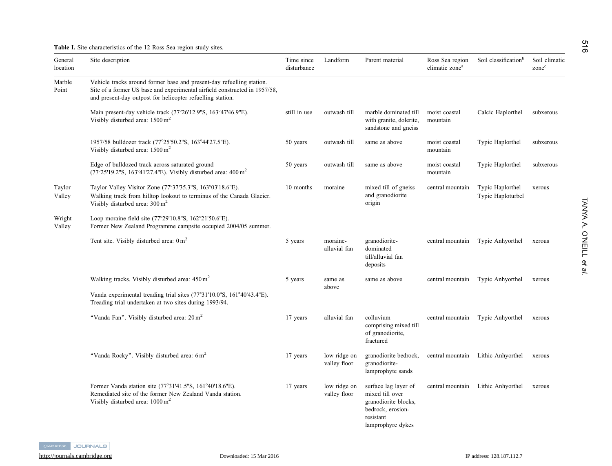**Table I.** Site characteristics of the 12 Ross Sea region study sites.

| General<br>location | Site description                                                                                                                                                                                                  | Time since<br>disturbance | Landform                     | Parent material                                                                                                        | Ross Sea region<br>climatic zone <sup>a</sup> | Soil classification <sup>b</sup>      | Soil climatic<br>zone <sup>c</sup> |
|---------------------|-------------------------------------------------------------------------------------------------------------------------------------------------------------------------------------------------------------------|---------------------------|------------------------------|------------------------------------------------------------------------------------------------------------------------|-----------------------------------------------|---------------------------------------|------------------------------------|
| Marble<br>Point     | Vehicle tracks around former base and present-day refuelling station.<br>Site of a former US base and experimental airfield constructed in 1957/58,<br>and present-day outpost for helicopter refuelling station. |                           |                              |                                                                                                                        |                                               |                                       |                                    |
|                     | Main present-day vehicle track (77°26'12.9"S, 163°47'46.9"E).<br>Visibly disturbed area: $1500 \text{ m}^2$                                                                                                       | still in use              | outwash till                 | marble dominated till<br>with granite, dolerite,<br>sandstone and gneiss                                               | moist coastal<br>mountain                     | Calcic Haplorthel                     | subxerous                          |
|                     | 1957/58 bulldozer track (77°25'50.2"S, 163°44'27.5"E).<br>Visibly disturbed area: $1500 \text{ m}^2$                                                                                                              | 50 years                  | outwash till                 | same as above                                                                                                          | moist coastal<br>mountain                     | Typic Haplorthel                      | subxerous                          |
|                     | Edge of bulldozed track across saturated ground<br>$(77^{\circ}25'19.2''S, 163^{\circ}41'27.4''E)$ . Visibly disturbed area: 400 m <sup>2</sup>                                                                   | 50 years                  | outwash till                 | same as above                                                                                                          | moist coastal<br>mountain                     | Typic Haplorthel                      | subxerous                          |
| Taylor<br>Valley    | Taylor Valley Visitor Zone (77°37'35.3"S, 163°03'18.6"E).<br>Walking track from hilltop lookout to terminus of the Canada Glacier.<br>Visibly disturbed area: $300 \text{ m}^2$                                   | 10 months                 | moraine                      | mixed till of gneiss<br>and granodiorite<br>origin                                                                     | central mountain                              | Typic Haplorthel<br>Typic Haploturbel | xerous                             |
| Wright<br>Valley    | Loop moraine field site (77°29'10.8"S, 162°21'50.6"E).<br>Former New Zealand Programme campsite occupied 2004/05 summer.                                                                                          |                           |                              |                                                                                                                        |                                               |                                       |                                    |
|                     | Tent site. Visibly disturbed area: $0 \text{ m}^2$                                                                                                                                                                | 5 years                   | moraine-<br>alluvial fan     | granodiorite-<br>dominated<br>till/alluvial fan<br>deposits                                                            | central mountain                              | Typic Anhyorthel                      | xerous                             |
|                     | Walking tracks. Visibly disturbed area: 450 m <sup>2</sup>                                                                                                                                                        | 5 years                   | same as<br>above             | same as above                                                                                                          | central mountain                              | Typic Anhyorthel                      | xerous                             |
|                     | Vanda experimental treading trial sites (77°31'10.0"S, 161°40'43.4"E).<br>Treading trial undertaken at two sites during 1993/94.                                                                                  |                           |                              |                                                                                                                        |                                               |                                       |                                    |
|                     | "Vanda Fan". Visibly disturbed area: 20 m <sup>2</sup>                                                                                                                                                            | 17 years                  | alluvial fan                 | colluvium<br>comprising mixed till<br>of granodiorite,<br>fractured                                                    | central mountain                              | Typic Anhyorthel                      | xerous                             |
|                     | "Vanda Rocky". Visibly disturbed area: 6 m <sup>2</sup>                                                                                                                                                           | 17 years                  | low ridge on<br>valley floor | granodiorite bedrock,<br>granodiorite-<br>lamprophyte sands                                                            | central mountain                              | Lithic Anhyorthel                     | xerous                             |
|                     | Former Vanda station site (77°31'41.5"S, 161°40'18.6"E).<br>Remediated site of the former New Zealand Vanda station.<br>Visibly disturbed area: $1000 \text{ m}^2$                                                | 17 years                  | low ridge on<br>valley floor | surface lag layer of<br>mixed till over<br>granodiorite blocks,<br>bedrock, erosion-<br>resistant<br>lamprophyre dykes | central mountain                              | Lithic Anhyorthel                     | xerous                             |

TANYA A. O'NEILL TANYA A. O'NEILL et al.

516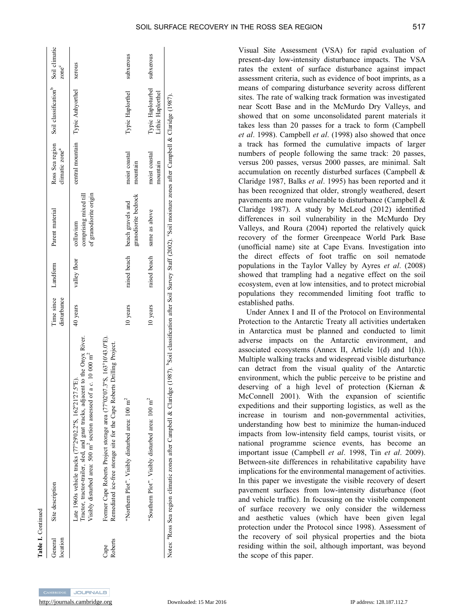|  | SOIL SURFACE RECOVERY IN THE ROSS SEA REGION |  |
|--|----------------------------------------------|--|
|  |                                              |  |

| Table I. Continued  |                                                                                                                                                                                                                                                           |                           |              |                                                              |                                               |                                        |                        |
|---------------------|-----------------------------------------------------------------------------------------------------------------------------------------------------------------------------------------------------------------------------------------------------------|---------------------------|--------------|--------------------------------------------------------------|-----------------------------------------------|----------------------------------------|------------------------|
| location<br>General | Site description                                                                                                                                                                                                                                          | Time since<br>disturbance | Landform     | Parent material                                              | Ross Sea region<br>climatic zone <sup>a</sup> | Soil classification <sup>b</sup>       | Soil climatic<br>zonec |
|                     | Tractor, tractor-trailer, sled, and gnat tracks, adjacent to the Onyx River.<br>of a c. $10000 \text{ m}^2$<br>Late 1960s vehicle tracks $(77^{\circ}29'02.2''S, 162^{\circ}21'27.5''E)$ .<br>Visibly disturbed area: 500 m <sup>2</sup> section assessed | 40 years                  | valley floor | of granodiorite origin<br>comprising mixed till<br>colluvium |                                               | central mountain Typic Anhyorthel      | xerous                 |
| Roberts<br>Cape     | Former Cape Roberts Project storage area (77°02'07.3"S, 163°10'43.0"E).<br>Remediated ice-free storage site for the Cape Roberts Drilling Project.                                                                                                        |                           |              |                                                              |                                               |                                        |                        |
|                     | "Northern Plot". Visibly disturbed area: $100 \text{ m}^2$                                                                                                                                                                                                | 10 years                  | raised beach | granodiorite bedrock<br>beach gravels and                    | moist coastal<br>mountain                     | Typic Haplorthel                       | subxerous              |
|                     | "Southern Plot". Visibly disturbed area: 100 m <sup>2</sup>                                                                                                                                                                                               | 10 years                  | raised beach | same as above                                                | moist coastal<br>mountain                     | Typic Haploturbel<br>Lithic Haplorthel | subxerous              |
|                     | Notes: <sup>a</sup> Ross Sea region climatic zones after Campbell & Claridge (1987). <sup>b</sup> Soil classification after Soil Survey Staff (2002). 'Soil moisture zones after Campbell & Claridge (1987).                                              |                           |              |                                                              |                                               |                                        |                        |

Visual Site Assessment (VSA) for rapid evaluation of present-day low-intensity disturbance impacts. The VSA rates the extent of surface disturbance against impact assessment criteria, such as evidence of boot imprints, as a means of comparing disturbance severity across different sites. The rate of walking track formation was investigated near Scott Base and in the McMurdo Dry Valleys, and showed that on some unconsolidated parent materials it takes less than 20 passes for a track to form (Campbell *et al*. 1998). Campbell *et al*. (1998) also showed that once a track has formed the cumulative impacts of larger numbers of people following the same track: 20 passes, versus 200 passes, versus 2000 passes, are minimal. Salt accumulation on recently disturbed surfaces (Campbell & Claridge 1987, Balks *et al*. 1995) has been reported and it has been recognized that older, strongly weathered, desert pavements are more vulnerable to disturbance (Campbell & Claridge 1987). A study by McLeod (2012) identified differences in soil vulnerability in the McMurdo Dry Valleys, and Roura (2004) reported the relatively quick recovery of the former Greenpeace World Park Base (unofficial name) site at Cape Evans. Investigation into the direct effects of foot traffic on soil nematode populations in the Taylor Valley by Ayres *et al*. (2008) showed that trampling had a negative effect on the soil ecosystem, even at low intensities, and to protect microbial populations they recommended limiting foot traffic to established paths.

Under Annex I and II of the Protocol on Environmental Protection to the Antarctic Treaty all activities undertaken in Antarctica must be planned and conducted to limit adverse impacts on the Antarctic environment, and associated ecosystems (Annex II, Article 1(d) and 1(h)). Multiple walking tracks and widespread visible disturbance can detract from the visual quality of the Antarctic environment, which the public perceive to be pristine and deserving of a high level of protection (Kiernan & McConnell 2001). With the expansion of scientific expeditions and their supporting logistics, as well as the increase in tourism and non-governmental activities, understanding how best to minimize the human-induced impacts from low-intensity field camps, tourist visits, or national programme science events, has become an important issue (Campbell *et al*. 1998, Tin *et al*. 2009). Between-site differences in rehabilitative capability have implications for the environmental management of activities. In this paper we investigate the visible recovery of desert pavement surfaces from low-intensity disturbance (foot and vehicle traffic). In focussing on the visible component of surface recovery we only consider the wilderness and aesthetic values (which have been given legal protection under the Protocol since 1998). Assessment of the recovery of soil physical properties and the biota residing within the soil, although important, was beyond the scope of this paper.

**Table I.**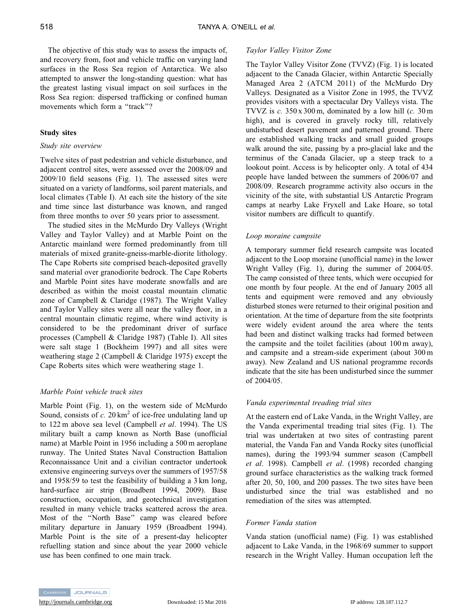The objective of this study was to assess the impacts of, and recovery from, foot and vehicle traffic on varying land surfaces in the Ross Sea region of Antarctica. We also attempted to answer the long-standing question: what has the greatest lasting visual impact on soil surfaces in the Ross Sea region: dispersed trafficking or confined human movements which form a ''track''?

# **Study sites**

# *Study site overview*

Twelve sites of past pedestrian and vehicle disturbance, and adjacent control sites, were assessed over the 2008/09 and 2009/10 field seasons (Fig. 1). The assessed sites were situated on a variety of landforms, soil parent materials, and local climates (Table I). At each site the history of the site and time since last disturbance was known, and ranged from three months to over 50 years prior to assessment.

The studied sites in the McMurdo Dry Valleys (Wright Valley and Taylor Valley) and at Marble Point on the Antarctic mainland were formed predominantly from till materials of mixed granite-gneiss-marble-diorite lithology. The Cape Roberts site comprised beach-deposited gravelly sand material over granodiorite bedrock. The Cape Roberts and Marble Point sites have moderate snowfalls and are described as within the moist coastal mountain climatic zone of Campbell & Claridge (1987). The Wright Valley and Taylor Valley sites were all near the valley floor, in a central mountain climatic regime, where wind activity is considered to be the predominant driver of surface processes (Campbell & Claridge 1987) (Table I). All sites were salt stage 1 (Bockheim 1997) and all sites were weathering stage 2 (Campbell & Claridge 1975) except the Cape Roberts sites which were weathering stage 1.

# *Marble Point vehicle track sites*

Marble Point (Fig. 1), on the western side of McMurdo Sound, consists of  $c$ . 20 km<sup>2</sup> of ice-free undulating land up to 122 m above sea level (Campbell *et al*. 1994). The US military built a camp known as North Base (unofficial name) at Marble Point in 1956 including a 500 m aeroplane runway. The United States Naval Construction Battalion Reconnaissance Unit and a civilian contractor undertook extensive engineering surveys over the summers of 1957/58 and 1958/59 to test the feasibility of building a 3 km long, hard-surface air strip (Broadbent 1994, 2009). Base construction, occupation, and geotechnical investigation resulted in many vehicle tracks scattered across the area. Most of the ''North Base'' camp was cleared before military departure in January 1959 (Broadbent 1994). Marble Point is the site of a present-day helicopter refuelling station and since about the year 2000 vehicle use has been confined to one main track.

# *Taylor Valley Visitor Zone*

The Taylor Valley Visitor Zone (TVVZ) (Fig. 1) is located adjacent to the Canada Glacier, within Antarctic Specially Managed Area 2 (ATCM 2011) of the McMurdo Dry Valleys. Designated as a Visitor Zone in 1995, the TVVZ provides visitors with a spectacular Dry Valleys vista. The TVVZ is *c.* 350 x 300 m, dominated by a low hill (*c.* 30 m high), and is covered in gravely rocky till, relatively undisturbed desert pavement and patterned ground. There are established walking tracks and small guided groups walk around the site, passing by a pro-glacial lake and the terminus of the Canada Glacier, up a steep track to a lookout point. Access is by helicopter only. A total of 434 people have landed between the summers of 2006/07 and 2008/09. Research programme activity also occurs in the vicinity of the site, with substantial US Antarctic Program camps at nearby Lake Fryxell and Lake Hoare, so total visitor numbers are difficult to quantify.

# *Loop moraine campsite*

A temporary summer field research campsite was located adjacent to the Loop moraine (unofficial name) in the lower Wright Valley (Fig. 1), during the summer of 2004/05. The camp consisted of three tents, which were occupied for one month by four people. At the end of January 2005 all tents and equipment were removed and any obviously disturbed stones were returned to their original position and orientation. At the time of departure from the site footprints were widely evident around the area where the tents had been and distinct walking tracks had formed between the campsite and the toilet facilities (about 100 m away), and campsite and a stream-side experiment (about 300 m away). New Zealand and US national programme records indicate that the site has been undisturbed since the summer of 2004/05.

# *Vanda experimental treading trial sites*

At the eastern end of Lake Vanda, in the Wright Valley, are the Vanda experimental treading trial sites (Fig. 1)*.* The trial was undertaken at two sites of contrasting parent material, the Vanda Fan and Vanda Rocky sites (unofficial names), during the 1993/94 summer season (Campbell *et al*. 1998). Campbell *et al*. (1998) recorded changing ground surface characteristics as the walking track formed after 20, 50, 100, and 200 passes. The two sites have been undisturbed since the trial was established and no remediation of the sites was attempted.

# *Former Vanda station*

Vanda station (unofficial name) (Fig. 1) was established adjacent to Lake Vanda, in the 1968/69 summer to support research in the Wright Valley. Human occupation left the

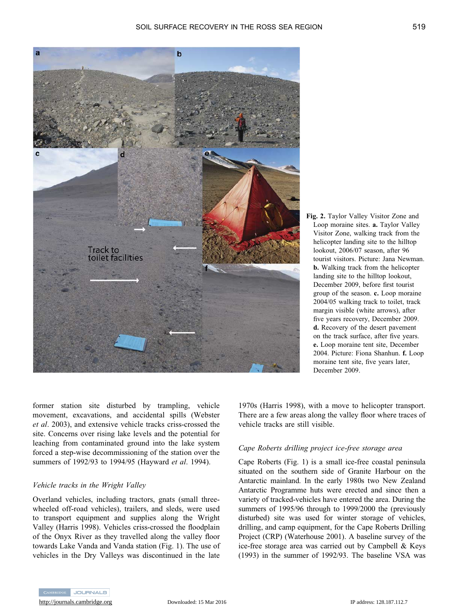

**Fig. 2.** Taylor Valley Visitor Zone and Loop moraine sites. **a.** Taylor Valley Visitor Zone, walking track from the helicopter landing site to the hilltop lookout, 2006/07 season, after 96 tourist visitors. Picture: Jana Newman. **b.** Walking track from the helicopter landing site to the hilltop lookout, December 2009, before first tourist group of the season. **c.** Loop moraine 2004/05 walking track to toilet, track margin visible (white arrows), after five years recovery, December 2009. **d.** Recovery of the desert pavement on the track surface, after five years. **e.** Loop moraine tent site, December 2004. Picture: Fiona Shanhun. **f.** Loop moraine tent site, five years later, December 2009.

former station site disturbed by trampling, vehicle movement, excavations, and accidental spills (Webster *et al*. 2003), and extensive vehicle tracks criss-crossed the site. Concerns over rising lake levels and the potential for leaching from contaminated ground into the lake system forced a step-wise decommissioning of the station over the summers of 1992/93 to 1994/95 (Hayward *et al*. 1994).

# *Vehicle tracks in the Wright Valley*

Overland vehicles, including tractors, gnats (small threewheeled off-road vehicles), trailers, and sleds, were used to transport equipment and supplies along the Wright Valley (Harris 1998). Vehicles criss-crossed the floodplain of the Onyx River as they travelled along the valley floor towards Lake Vanda and Vanda station (Fig. 1). The use of vehicles in the Dry Valleys was discontinued in the late

1970s (Harris 1998), with a move to helicopter transport. There are a few areas along the valley floor where traces of vehicle tracks are still visible.

# *Cape Roberts drilling project ice-free storage area*

Cape Roberts (Fig. 1) is a small ice-free coastal peninsula situated on the southern side of Granite Harbour on the Antarctic mainland. In the early 1980s two New Zealand Antarctic Programme huts were erected and since then a variety of tracked-vehicles have entered the area. During the summers of 1995/96 through to 1999/2000 the (previously disturbed) site was used for winter storage of vehicles, drilling, and camp equipment, for the Cape Roberts Drilling Project (CRP) (Waterhouse 2001). A baseline survey of the ice-free storage area was carried out by Campbell & Keys (1993) in the summer of 1992/93. The baseline VSA was

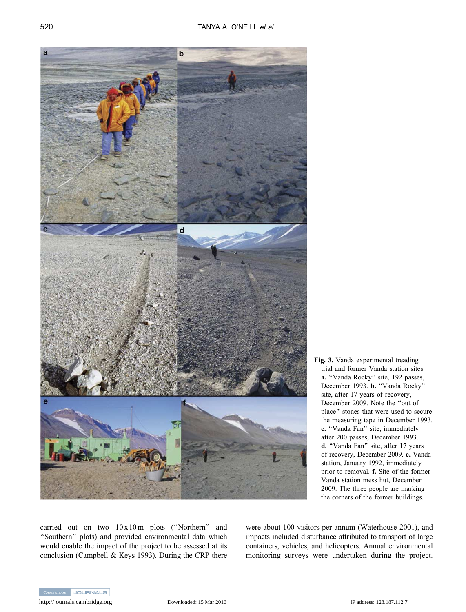

**Fig. 3.** Vanda experimental treading trial and former Vanda station sites. **a.** ''Vanda Rocky'' site, 192 passes, December 1993. **b.** "Vanda Rocky" site, after 17 years of recovery, December 2009. Note the ''out of place'' stones that were used to secure the measuring tape in December 1993. **c.** "Vanda Fan" site, immediately after 200 passes, December 1993. d. "Vanda Fan" site, after 17 years of recovery, December 2009. **e.** Vanda station, January 1992, immediately prior to removal. **f.** Site of the former Vanda station mess hut, December 2009. The three people are marking the corners of the former buildings.

carried out on two 10 x10 m plots (''Northern'' and "Southern" plots) and provided environmental data which would enable the impact of the project to be assessed at its conclusion (Campbell & Keys 1993). During the CRP there were about 100 visitors per annum (Waterhouse 2001), and impacts included disturbance attributed to transport of large containers, vehicles, and helicopters. Annual environmental monitoring surveys were undertaken during the project.

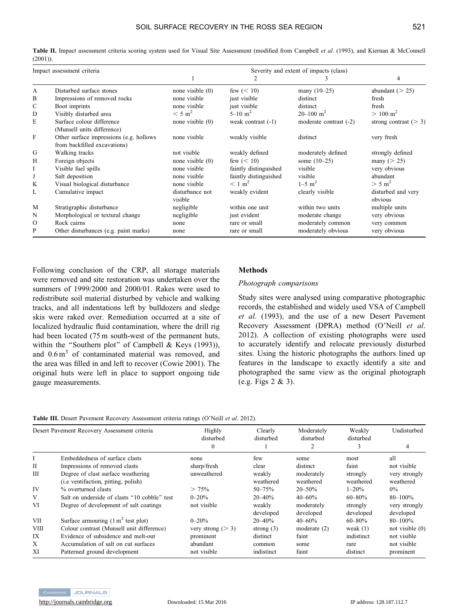**Table II.** Impact assessment criteria scoring system used for Visual Site Assessment (modified from Campbell *et al*. (1993), and Kiernan & McConnell (2001)).

| Impact assessment criteria |                                          | Severity and extent of impacts (class) |                       |                           |                         |  |  |  |  |  |  |
|----------------------------|------------------------------------------|----------------------------------------|-----------------------|---------------------------|-------------------------|--|--|--|--|--|--|
|                            |                                          |                                        | 2                     | 3.                        | 4                       |  |  |  |  |  |  |
| A                          | Disturbed surface stones                 | none visible $(0)$                     | few $(< 10$ )         | many $(10-25)$            | abundant $(> 25)$       |  |  |  |  |  |  |
| B                          | Impressions of removed rocks             | none visible                           | just visible          | distinct                  | fresh                   |  |  |  |  |  |  |
| C                          | Boot imprints                            | none visible                           | just visible          | distinct                  | fresh                   |  |  |  |  |  |  |
| D                          | Visibly disturbed area                   | $< 5 \text{ m}^2$                      | $5 - 10 \text{ m}^2$  | $20 - 100$ m <sup>2</sup> | $> 100 \text{ m}^2$     |  |  |  |  |  |  |
| E                          | Surface colour difference                | none visible $(0)$                     | weak contrast $(-1)$  | moderate contrast (-2)    | strong contrast $(> 3)$ |  |  |  |  |  |  |
|                            | (Munsell units difference)               |                                        |                       |                           |                         |  |  |  |  |  |  |
| F                          | Other surface impressions (e.g. hollows) | none visible                           | weakly visible        | distinct                  | very fresh              |  |  |  |  |  |  |
|                            | from backfilled excavations)             |                                        |                       |                           |                         |  |  |  |  |  |  |
| G                          | Walking tracks                           | not visible                            | weakly defined        | moderately defined        | strongly defined        |  |  |  |  |  |  |
| Н                          | Foreign objects                          | none visible $(0)$                     | few $(< 10$ )         | some $(10-25)$            | many ( $>$ 25)          |  |  |  |  |  |  |
| Ι                          | Visible fuel spills                      | none visible                           | faintly distinguished | visible                   | very obvious            |  |  |  |  |  |  |
| J                          | Salt deposition                          | none visible                           | faintly distinguished | visible                   | abundant                |  |  |  |  |  |  |
| K                          | Visual biological disturbance            | none visible                           | $\rm < 1~m^2$         | $1 - 5$ m <sup>2</sup>    | $> 5 \text{ m}^2$       |  |  |  |  |  |  |
| L                          | Cumulative impact                        | disturbance not                        | weakly evident        | clearly visible           | disturbed and very      |  |  |  |  |  |  |
|                            |                                          | visible                                |                       |                           | obvious                 |  |  |  |  |  |  |
| M                          | Stratigraphic disturbance                | negligible                             | within one unit       | within two units          | multiple units          |  |  |  |  |  |  |
| N                          | Morphological or textural change         | negligible                             | just evident          | moderate change           | very obvious            |  |  |  |  |  |  |
| $\Omega$                   | Rock cairns                              | none                                   | rare or small         | moderately common         | very common             |  |  |  |  |  |  |
| P                          | Other disturbances (e.g. paint marks)    | none                                   | rare or small         | moderately obvious        | very obvious            |  |  |  |  |  |  |

Following conclusion of the CRP, all storage materials were removed and site restoration was undertaken over the summers of 1999/2000 and 2000/01. Rakes were used to redistribute soil material disturbed by vehicle and walking tracks, and all indentations left by bulldozers and sledge skis were raked over. Remediation occurred at a site of localized hydraulic fluid contamination, where the drill rig had been located (75 m south-west of the permanent huts, within the "Southern plot" of Campbell & Keys (1993)), and  $0.6 \text{ m}^3$  of contaminated material was removed, and the area was filled in and left to recover (Cowie 2001). The original huts were left in place to support ongoing tide gauge measurements.

# **Methods**

### *Photograph comparisons*

Study sites were analysed using comparative photographic records, the established and widely used VSA of Campbell *et al*. (1993), and the use of a new Desert Pavement Recovery Assessment (DPRA) method (O'Neill *et al*. 2012). A collection of existing photographs were used to accurately identify and relocate previously disturbed sites. Using the historic photographs the authors lined up features in the landscape to exactly identify a site and photographed the same view as the original photograph (e.g. Figs 2 & 3).

|  |  |  |  | Table III. Desert Pavement Recovery Assessment criteria ratings (O'Neill et al. 2012). |  |  |  |  |  |
|--|--|--|--|----------------------------------------------------------------------------------------|--|--|--|--|--|
|--|--|--|--|----------------------------------------------------------------------------------------|--|--|--|--|--|

| Desert Pavement Recovery Assessment criteria |                                                                                   | Highly<br>disturbed  | Clearly<br>disturbed | Moderately<br>disturbed | Weakly<br>disturbed   | Undisturbed                |
|----------------------------------------------|-----------------------------------------------------------------------------------|----------------------|----------------------|-------------------------|-----------------------|----------------------------|
|                                              |                                                                                   | $\mathbf{0}$         |                      |                         | 3                     | 4                          |
| Ι                                            | Embeddedness of surface clasts                                                    | none                 | few                  | some                    | most                  | all                        |
| П                                            | Impressions of removed clasts                                                     | sharp/fresh          | clear                | distinct                | faint                 | not visible                |
| Ш                                            | Degree of clast surface weathering<br>( <i>i.e</i> ventifaction, pitting, polish) | unweathered          | weakly<br>weathered  | moderately<br>weathered | strongly<br>weathered | very strongly<br>weathered |
| IV                                           | % overturned clasts                                                               | > 75%                | $50 - 75%$           | $20 - 50\%$             | $1 - 20%$             | $0\%$                      |
| V                                            | Salt on underside of clasts "10 cobble" test                                      | $0 - 20%$            | $20 - 40%$           | $40 - 60\%$             | $60 - 80\%$           | $80 - 100\%$               |
| VI                                           | Degree of development of salt coatings                                            | not visible          | weakly<br>developed  | moderately<br>developed | strongly<br>developed | very strongly<br>developed |
| VІІ                                          | Surface armouring $(1 \text{ m}^2 \text{ test plot})$                             | $0 - 20%$            | $20 - 40%$           | $40 - 60%$              | $60 - 80\%$           | $80 - 100\%$               |
| VIII                                         | Colour contrast (Munsell unit difference)                                         | very strong ( $>$ 3) | strong $(3)$         | moderate $(2)$          | weak $(1)$            | not visible $(0)$          |
| IX                                           | Evidence of subsidence and melt-out                                               | prominent            | distinct             | faint                   | indistinct            | not visible                |
| X                                            | Accumulation of salt on cut surfaces                                              | abundant             | common               | some                    | rare                  | not visible                |
| XI                                           | Patterned ground development                                                      | not visible          | indistinct           | faint                   | distinct              | prominent                  |

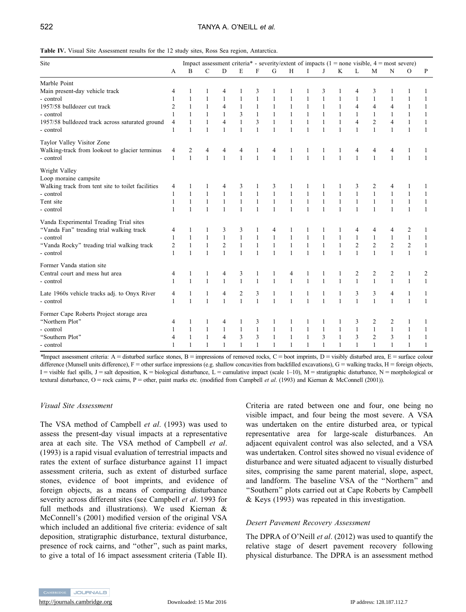**Table IV.** Visual Site Assessment results for the 12 study sites, Ross Sea region, Antarctica.

| Site                                              |                |              |              |                |              |                |              |   |              |              |              |                | Impact assessment criteria* - severity/extent of impacts $(1 = none$ visible, $4 = most$ severe) |                |                |              |
|---------------------------------------------------|----------------|--------------|--------------|----------------|--------------|----------------|--------------|---|--------------|--------------|--------------|----------------|--------------------------------------------------------------------------------------------------|----------------|----------------|--------------|
|                                                   | A              | B            | $\mathbf C$  | $\mathbf D$    | E            | $\overline{F}$ | G            | H | L            | J            | K            | L              | M                                                                                                | N              | $\mathcal{O}$  | P            |
| Marble Point                                      |                |              |              |                |              |                |              |   |              |              |              |                |                                                                                                  |                |                |              |
| Main present-day vehicle track                    | 4              |              |              | 4              | 1            | 3              |              |   |              | 3            |              | 4              | 3                                                                                                |                |                | 1            |
| - control                                         | 1              | 1            |              | $\mathbf{1}$   | 1            | 1              |              |   |              |              |              | $\mathbf{1}$   | 1                                                                                                |                | 1              | 1            |
| 1957/58 bulldozer cut track                       | $\overline{c}$ | 1            |              | 4              | $\mathbf{1}$ | $\mathbf{1}$   | $\mathbf{1}$ |   |              |              | 1            | $\overline{4}$ | 4                                                                                                | 4              | $\mathbf{1}$   | 1            |
| - control                                         | 1              | $\mathbf{1}$ |              | 1              | 3            | $\mathbf{1}$   | $\mathbf{1}$ |   |              |              |              | $\mathbf{1}$   | $\mathbf{1}$                                                                                     |                | $\mathbf{1}$   | 1            |
| 1957/58 bulldozed track across saturated ground   | 4              |              |              | $\overline{4}$ | 1            | 3              |              |   |              |              |              | $\overline{4}$ | $\sqrt{2}$                                                                                       | 4              | $\mathbf{1}$   | 1            |
| - control                                         | 1              | $\mathbf{1}$ | $\mathbf{1}$ | $\mathbf{1}$   | $\mathbf{1}$ | 1              | $\mathbf{1}$ | 1 |              | 1            | $\mathbf{1}$ | $\mathbf{1}$   | $\mathbf{1}$                                                                                     | $\mathbf{1}$   | $\mathbf{1}$   | $\mathbf{1}$ |
| Taylor Valley Visitor Zone                        |                |              |              |                |              |                |              |   |              |              |              |                |                                                                                                  |                |                |              |
| Walking-track from lookout to glacier terminus    | 4              | 2            | 4            | 4              | 4            |                | 4            |   |              |              |              | 4              | 4                                                                                                | 4              |                | 1            |
| - control                                         | 1              | $\mathbf{1}$ | $\mathbf{1}$ | $\mathbf{1}$   | $\mathbf{1}$ | 1              | $\mathbf{1}$ |   |              |              | $\mathbf{1}$ | $\mathbf{1}$   | $\mathbf{1}$                                                                                     | $\mathbf{1}$   | $\mathbf{1}$   | 1            |
| Wright Valley                                     |                |              |              |                |              |                |              |   |              |              |              |                |                                                                                                  |                |                |              |
| Loop moraine campsite                             |                |              |              |                |              |                |              |   |              |              |              |                |                                                                                                  |                |                |              |
| Walking track from tent site to toilet facilities | 4              |              |              | 4              | 3            |                | 3            |   |              |              |              | 3              | 2                                                                                                | 4              |                |              |
| - control                                         | 1              | $\mathbf{1}$ |              | $\mathbf{1}$   | $\mathbf{1}$ | $\mathbf{1}$   | $\mathbf{1}$ |   |              |              |              | $\mathbf{1}$   | $\mathbf{1}$                                                                                     | 1              | 1              | 1            |
| Tent site                                         | 1              | $\mathbf{1}$ |              | 1              | $\mathbf{1}$ | $\mathbf{1}$   | $\mathbf{1}$ |   |              |              |              | $\mathbf{1}$   | $\mathbf{1}$                                                                                     |                | 1              | 1            |
| - control                                         | 1              | $\mathbf{1}$ | $\mathbf{1}$ | $\mathbf{1}$   | $\mathbf{1}$ | $\mathbf{1}$   | $\mathbf{1}$ | 1 |              | $\mathbf{1}$ | $\mathbf{1}$ | $\mathbf{1}$   | $\mathbf{1}$                                                                                     | $\mathbf{1}$   | $\mathbf{1}$   | $\mathbf{1}$ |
| Vanda Experimental Treading Trial sites           |                |              |              |                |              |                |              |   |              |              |              |                |                                                                                                  |                |                |              |
| "Vanda Fan" treading trial walking track          | 4              | 1            |              | 3              | 3            | 1              | 4            |   |              |              |              | 4              | 4                                                                                                | 4              | 2              | 1            |
| - control                                         | 1              | -1           |              | $\mathbf{1}$   | 1            | 1              | $\mathbf{1}$ | 1 |              |              | 1            | $\mathbf{1}$   | $\mathbf{1}$                                                                                     | 1              | $\mathbf{1}$   | 1            |
| "Vanda Rocky" treading trial walking track        | 2              | $\mathbf{1}$ |              | $\overline{c}$ | 1            | 1              | $\mathbf{1}$ | 1 |              |              | 1            | $\overline{c}$ | $\overline{2}$                                                                                   | $\overline{c}$ | $\overline{c}$ | 1            |
| - control                                         | 1              | $\mathbf{1}$ | 1            | $\mathbf{1}$   | $\mathbf{1}$ | 1              | $\mathbf{1}$ | 1 |              |              | $\mathbf{1}$ | $\mathbf{1}$   | $\mathbf{1}$                                                                                     | $\mathbf{1}$   | $\mathbf{1}$   | $\mathbf{1}$ |
| Former Vanda station site                         |                |              |              |                |              |                |              |   |              |              |              |                |                                                                                                  |                |                |              |
| Central court and mess hut area                   | 4              | 1            | 1            | 4              | 3            | 1              | 1            | 4 |              |              |              | $\overline{c}$ | 2                                                                                                | 2              | $\mathbf{1}$   | 2            |
| - control                                         | 1              | $\mathbf{1}$ | $\mathbf{1}$ | $\mathbf{1}$   | $\mathbf{1}$ | $\mathbf{1}$   | $\mathbf{1}$ | 1 |              |              | $\mathbf{1}$ | $\mathbf{1}$   | $\mathbf{1}$                                                                                     | $\mathbf{1}$   | $\mathbf{1}$   | $\mathbf{1}$ |
| Late 1960s vehicle tracks adj. to Onyx River      | 4              | 1            |              | 4              | 2            | 3              | 1            |   |              |              | 1            | 3              | 3                                                                                                | 4              | 1              | 1            |
| - control                                         | 1              | $\mathbf{1}$ | $\mathbf{1}$ | $\mathbf{1}$   | $\mathbf{1}$ | $\mathbf{1}$   | $\mathbf{1}$ | 1 | $\mathbf{1}$ | $\mathbf{1}$ | $\mathbf{1}$ | $\mathbf{1}$   | $\mathbf{1}$                                                                                     | $\mathbf{1}$   | $\mathbf{1}$   | $\mathbf{1}$ |
| Former Cape Roberts Project storage area          |                |              |              |                |              |                |              |   |              |              |              |                |                                                                                                  |                |                |              |
| "Northern Plot"                                   | 4              | 1            |              | 4              | 1            | 3              | 1            |   |              |              |              | 3              | 2                                                                                                | 2              | 1              | 1            |
| - control                                         | 1              | 1            |              | 1              | $\mathbf{1}$ | 1              | 1            |   |              |              | 1            | $\mathbf{1}$   | $\mathbf{1}$                                                                                     | 1              | 1              | 1            |
| "Southern Plot"                                   |                |              |              |                |              |                |              |   |              |              |              |                |                                                                                                  |                |                |              |
|                                                   | 4              | 1            |              | 4              | 3            | 3              | $\mathbf{1}$ |   |              | 3            | $\mathbf{1}$ | 3              | $\overline{2}$                                                                                   | 3              | 1              | 1            |

*\*Impact assessment criteria: A = disturbed surface stones, B = impressions of removed rocks, C = boot imprints, D = visibly disturbed area, E = surface colour* difference (Munsell units difference),  $F =$  other surface impressions (e.g. shallow concavities from backfilled excavations),  $G =$  walking tracks,  $H =$  foreign objects, I = visible fuel spills, J = salt deposition, K = biological disturbance, L = cumulative impact (scale 1–10), M = stratigraphic disturbance, N = morphological or textural disturbance, O = rock cairns, P = other, paint marks etc. (modified from Campbell *et al.* (1993) and Kiernan & McConnell (2001)).

# *Visual Site Assessment*

The VSA method of Campbell *et al*. (1993) was used to assess the present-day visual impacts at a representative area at each site. The VSA method of Campbell *et al*. (1993) is a rapid visual evaluation of terrestrial impacts and rates the extent of surface disturbance against 11 impact assessment criteria, such as extent of disturbed surface stones, evidence of boot imprints, and evidence of foreign objects, as a means of comparing disturbance severity across different sites (see Campbell *et al*. 1993 for full methods and illustrations). We used Kiernan & McConnell's (2001) modified version of the original VSA which included an additional five criteria: evidence of salt deposition, stratigraphic disturbance, textural disturbance, presence of rock cairns, and ''other'', such as paint marks, to give a total of 16 impact assessment criteria (Table II). Criteria are rated between one and four, one being no visible impact, and four being the most severe. A VSA was undertaken on the entire disturbed area, or typical representative area for large-scale disturbances. An adjacent equivalent control was also selected, and a VSA was undertaken. Control sites showed no visual evidence of disturbance and were situated adjacent to visually disturbed sites, comprising the same parent material, slope, aspect, and landform*.* The baseline VSA of the ''Northern'' and ''Southern'' plots carried out at Cape Roberts by Campbell & Keys (1993) was repeated in this investigation.

# *Desert Pavement Recovery Assessment*

The DPRA of O'Neill *et al*. (2012) was used to quantify the relative stage of desert pavement recovery following physical disturbance. The DPRA is an assessment method

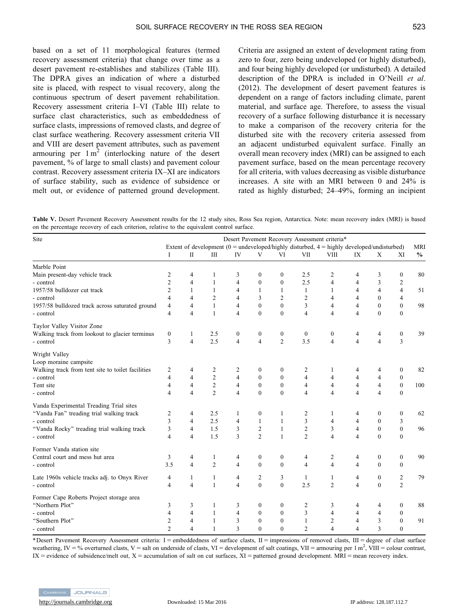based on a set of 11 morphological features (termed recovery assessment criteria) that change over time as a desert pavement re-establishes and stabilizes (Table III). The DPRA gives an indication of where a disturbed site is placed, with respect to visual recovery, along the continuous spectrum of desert pavement rehabilitation. Recovery assessment criteria I–VI (Table III) relate to surface clast characteristics, such as embeddedness of surface clasts, impressions of removed clasts, and degree of clast surface weathering. Recovery assessment criteria VII and VIII are desert pavement attributes, such as pavement armouring per  $1 \text{ m}^2$  (interlocking nature of the desert pavement, % of large to small clasts) and pavement colour contrast. Recovery assessment criteria IX–XI are indicators of surface stability, such as evidence of subsidence or melt out, or evidence of patterned ground development.

Criteria are assigned an extent of development rating from zero to four, zero being undeveloped (or highly disturbed), and four being highly developed (or undisturbed). A detailed description of the DPRA is included in O'Neill *et al*. (2012). The development of desert pavement features is dependent on a range of factors including climate, parent material, and surface age. Therefore, to assess the visual recovery of a surface following disturbance it is necessary to make a comparison of the recovery criteria for the disturbed site with the recovery criteria assessed from an adjacent undisturbed equivalent surface. Finally an overall mean recovery index (MRI) can be assigned to each pavement surface, based on the mean percentage recovery for all criteria, with values decreasing as visible disturbance increases. A site with an MRI between 0 and 24% is rated as highly disturbed; 24–49%, forming an incipient

**Table V.** Desert Pavement Recovery Assessment results for the 12 study sites, Ross Sea region, Antarctica. Note: mean recovery index (MRI) is based on the percentage recovery of each criterion, relative to the equivalent control surface.

| Site                                              |                  |                |                                  |                          |                  |                  |                | Desert Pavement Recovery Assessment criteria*                                                   |                         |                  |                  |               |
|---------------------------------------------------|------------------|----------------|----------------------------------|--------------------------|------------------|------------------|----------------|-------------------------------------------------------------------------------------------------|-------------------------|------------------|------------------|---------------|
|                                                   |                  |                |                                  |                          |                  |                  |                | Extent of development ( $0 =$ undeveloped/highly disturbed, $4 =$ highly developed/undisturbed) |                         |                  |                  | <b>MRI</b>    |
|                                                   | I                | $\rm II$       | $\mathop{\mathrm{III}}\nolimits$ | IV                       | V                | VI               | VII            | <b>VIII</b>                                                                                     | IX                      | X                | XI               | $\frac{0}{0}$ |
| Marble Point                                      |                  |                |                                  |                          |                  |                  |                |                                                                                                 |                         |                  |                  |               |
| Main present-day vehicle track                    | 2                | 4              | 1                                | 3                        | $\mathbf{0}$     | $\boldsymbol{0}$ | 2.5            | 2                                                                                               | 4                       | 3                | $\boldsymbol{0}$ | 80            |
| - control                                         | $\overline{c}$   | 4              | 1                                | $\overline{4}$           | $\theta$         | $\mathbf{0}$     | 2.5            | $\overline{\mathbf{4}}$                                                                         | $\overline{4}$          | 3                | $\overline{c}$   |               |
| 1957/58 bulldozer cut track                       | $\overline{c}$   | 1              | 1                                | $\overline{\mathcal{L}}$ | $\mathbf{1}$     | 1                | 1              | 1                                                                                               | $\overline{4}$          | $\overline{4}$   | $\overline{4}$   | 51            |
| - control                                         | $\overline{4}$   | 4              | 2                                | $\overline{\mathcal{L}}$ | 3                | $\overline{c}$   | 2              | $\overline{4}$                                                                                  | $\overline{\mathbf{4}}$ | $\mathbf{0}$     | $\overline{4}$   |               |
| 1957/58 bulldozed track across saturated ground   | $\overline{4}$   | 4              | $\mathbf{1}$                     | $\overline{4}$           | $\Omega$         | $\theta$         | 3              | $\overline{4}$                                                                                  | $\overline{4}$          | $\mathbf{0}$     | $\mathbf{0}$     | 98            |
| - control                                         | $\overline{4}$   | 4              | $\mathbf{1}$                     | $\overline{4}$           | $\Omega$         | $\Omega$         | $\overline{4}$ | $\overline{\mathcal{L}}$                                                                        | $\overline{4}$          | $\theta$         | $\mathbf{0}$     |               |
| Taylor Valley Visitor Zone                        |                  |                |                                  |                          |                  |                  |                |                                                                                                 |                         |                  |                  |               |
| Walking track from lookout to glacier terminus    | $\boldsymbol{0}$ | $\mathbf{1}$   | 2.5                              | $\boldsymbol{0}$         | $\boldsymbol{0}$ | $\boldsymbol{0}$ | $\mathbf{0}$   | $\mathbf{0}$                                                                                    | 4                       | 4                | $\boldsymbol{0}$ | 39            |
| - control                                         | 3                | $\overline{4}$ | 2.5                              | $\overline{4}$           | $\overline{4}$   | $\overline{c}$   | 3.5            | $\overline{4}$                                                                                  | $\overline{4}$          | $\overline{4}$   | 3                |               |
| Wright Valley<br>Loop moraine campsite            |                  |                |                                  |                          |                  |                  |                |                                                                                                 |                         |                  |                  |               |
| Walking track from tent site to toilet facilities | 2                | 4              | 2                                | 2                        | $\mathbf{0}$     | $\boldsymbol{0}$ | 2              | 1                                                                                               | 4                       | 4                | $\boldsymbol{0}$ | 82            |
| - control                                         | $\overline{4}$   | 4              | $\overline{c}$                   | $\overline{4}$           | $\mathbf{0}$     | $\mathbf{0}$     | $\overline{4}$ | $\overline{4}$                                                                                  | $\overline{4}$          | $\overline{4}$   | $\mathbf{0}$     |               |
| Tent site                                         | 4                | 4              | $\overline{c}$                   | $\overline{4}$           | $\mathbf{0}$     | $\boldsymbol{0}$ | $\overline{4}$ | $\overline{4}$                                                                                  | $\overline{4}$          | $\overline{4}$   | $\boldsymbol{0}$ | 100           |
| - control                                         | $\overline{4}$   | 4              | $\overline{2}$                   | $\overline{4}$           | $\theta$         | $\mathbf{0}$     | $\overline{4}$ | $\overline{4}$                                                                                  | $\overline{4}$          | $\overline{4}$   | $\boldsymbol{0}$ |               |
| Vanda Experimental Treading Trial sites           |                  |                |                                  |                          |                  |                  |                |                                                                                                 |                         |                  |                  |               |
| "Vanda Fan" treading trial walking track          | 2                | 4              | 2.5                              | 1                        | $\mathbf{0}$     | $\mathbf{1}$     | $\overline{2}$ | 1                                                                                               | 4                       | $\boldsymbol{0}$ | $\boldsymbol{0}$ | 62            |
| - control                                         | 3                | 4              | 2.5                              | $\overline{\mathbf{4}}$  | $\mathbf{1}$     | $\mathbf{1}$     | 3              | $\overline{4}$                                                                                  | $\overline{4}$          | $\mathbf{0}$     | $\mathfrak{Z}$   |               |
| "Vanda Rocky" treading trial walking track        | 3                | 4              | 1.5                              | 3                        | $\overline{c}$   | $\mathbf{1}$     | $\overline{c}$ | 3                                                                                               | $\overline{4}$          | $\boldsymbol{0}$ | $\boldsymbol{0}$ | 96            |
| - control                                         | $\overline{4}$   | 4              | 1.5                              | 3                        | $\overline{2}$   | $\mathbf{1}$     | $\overline{2}$ | $\overline{\mathbf{4}}$                                                                         | $\overline{4}$          | $\theta$         | $\mathbf{0}$     |               |
| Former Vanda station site                         |                  |                |                                  |                          |                  |                  |                |                                                                                                 |                         |                  |                  |               |
| Central court and mess hut area                   | 3                | 4              | 1                                | 4                        | $\boldsymbol{0}$ | $\boldsymbol{0}$ | 4              | 2                                                                                               | $\overline{4}$          | $\boldsymbol{0}$ | $\boldsymbol{0}$ | 90            |
| - control                                         | 3.5              | $\overline{4}$ | $\overline{c}$                   | $\overline{\mathbf{4}}$  | $\theta$         | $\mathbf{0}$     | $\overline{4}$ | $\overline{4}$                                                                                  | $\overline{4}$          | $\mathbf{0}$     | $\mathbf{0}$     |               |
| Late 1960s vehicle tracks adj. to Onyx River      | 4                | $\mathbf{1}$   | 1                                | 4                        | $\overline{c}$   | 3                | 1              | $\mathbf{1}$                                                                                    | 4                       | $\boldsymbol{0}$ | $\sqrt{2}$       | 79            |
| - control                                         | 4                | 4              | $\mathbf{1}$                     | $\overline{\mathbf{4}}$  | $\theta$         | $\theta$         | 2.5            | $\overline{c}$                                                                                  | $\overline{4}$          | $\mathbf{0}$     | $\overline{2}$   |               |
| Former Cape Roberts Project storage area          |                  |                |                                  |                          |                  |                  |                |                                                                                                 |                         |                  |                  |               |
| "Northern Plot"                                   | 3                | 3              | 1                                | 3                        | $\mathbf{0}$     | $\boldsymbol{0}$ | 2              | 3                                                                                               | 4                       | 4                | $\boldsymbol{0}$ | 88            |
| - control                                         | $\overline{4}$   | 4              | $\mathbf{1}$                     | $\overline{4}$           | $\theta$         | $\mathbf{0}$     | 3              | $\overline{4}$                                                                                  | 4                       | $\overline{4}$   | $\mathbf{0}$     |               |
| "Southern Plot"                                   | $\overline{c}$   | 4              | 1                                | 3                        | $\Omega$         | $\theta$         | $\mathbf{1}$   | $\overline{c}$                                                                                  | 4                       | 3                | $\theta$         | 91            |
| - control                                         | $\mathfrak{D}$   | 4              | 1                                | 3                        | $\Omega$         | $\theta$         | $\overline{2}$ | $\overline{\mathcal{L}}$                                                                        | 4                       | 3                | $\overline{0}$   |               |

\*Desert Pavement Recovery Assessment criteria: I = embeddedness of surface clasts, II = impressions of removed clasts, III = degree of clast surface weathering, IV = % overturned clasts, V = salt on underside of clasts, VI = development of salt coatings, VII = armouring per 1 m<sup>2</sup>, VIII = colour contrast,  $IX =$  evidence of subsidence/melt out,  $X =$  accumulation of salt on cut surfaces,  $XI =$  patterned ground development. MRI = mean recovery index.

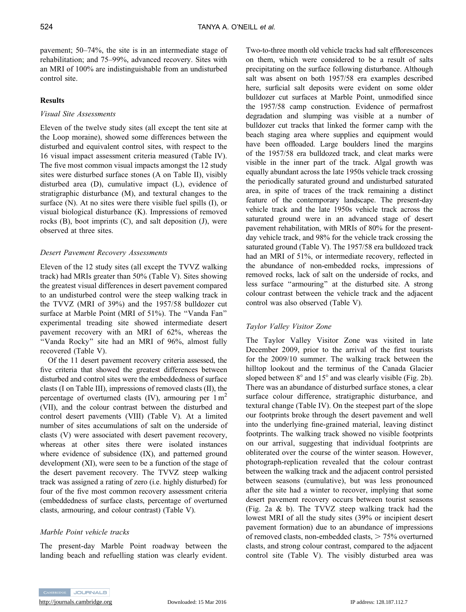pavement; 50–74%, the site is in an intermediate stage of rehabilitation; and 75–99%, advanced recovery. Sites with an MRI of 100% are indistinguishable from an undisturbed control site.

# **Results**

# *Visual Site Assessments*

Eleven of the twelve study sites (all except the tent site at the Loop moraine), showed some differences between the disturbed and equivalent control sites, with respect to the 16 visual impact assessment criteria measured (Table IV). The five most common visual impacts amongst the 12 study sites were disturbed surface stones (A on Table II), visibly disturbed area (D), cumulative impact (L), evidence of stratigraphic disturbance (M), and textural changes to the surface (N). At no sites were there visible fuel spills (I), or visual biological disturbance (K). Impressions of removed rocks  $(B)$ , boot imprints  $(C)$ , and salt deposition  $(J)$ , were observed at three sites.

# *Desert Pavement Recovery Assessments*

Eleven of the 12 study sites (all except the TVVZ walking track) had MRIs greater than 50% (Table V). Sites showing the greatest visual differences in desert pavement compared to an undisturbed control were the steep walking track in the TVVZ (MRI of 39%) and the 1957/58 bulldozer cut surface at Marble Point (MRI of 51%). The ''Vanda Fan'' experimental treading site showed intermediate desert pavement recovery with an MRI of 62%, whereas the ''Vanda Rocky'' site had an MRI of 96%, almost fully recovered (Table V).

Of the 11 desert pavement recovery criteria assessed, the five criteria that showed the greatest differences between disturbed and control sites were the embeddedness of surface clasts (I on Table III), impressions of removed clasts (II), the percentage of overturned clasts (IV), armouring per  $1 \text{ m}^2$ (VII), and the colour contrast between the disturbed and control desert pavements (VIII) (Table V). At a limited number of sites accumulations of salt on the underside of clasts (V) were associated with desert pavement recovery, whereas at other sites there were isolated instances where evidence of subsidence (IX), and patterned ground development (XI), were seen to be a function of the stage of the desert pavement recovery. The TVVZ steep walking track was assigned a rating of zero (i.e. highly disturbed) for four of the five most common recovery assessment criteria (embeddedness of surface clasts, percentage of overturned clasts, armouring, and colour contrast) (Table V).

# *Marble Point vehicle tracks*

The present-day Marble Point roadway between the landing beach and refuelling station was clearly evident. Two-to-three month old vehicle tracks had salt efflorescences on them, which were considered to be a result of salts precipitating on the surface following disturbance. Although salt was absent on both 1957/58 era examples described here, surficial salt deposits were evident on some older bulldozer cut surfaces at Marble Point, unmodified since the 1957/58 camp construction. Evidence of permafrost degradation and slumping was visible at a number of bulldozer cut tracks that linked the former camp with the beach staging area where supplies and equipment would have been offloaded. Large boulders lined the margins of the 1957/58 era bulldozed track, and cleat marks were visible in the inner part of the track. Algal growth was equally abundant across the late 1950s vehicle track crossing the periodically saturated ground and undisturbed saturated area, in spite of traces of the track remaining a distinct feature of the contemporary landscape. The present-day vehicle track and the late 1950s vehicle track across the saturated ground were in an advanced stage of desert pavement rehabilitation, with MRIs of 80% for the presentday vehicle track, and 98% for the vehicle track crossing the saturated ground (Table V). The 1957/58 era bulldozed track had an MRI of 51%, or intermediate recovery, reflected in the abundance of non-embedded rocks, impressions of removed rocks, lack of salt on the underside of rocks, and less surface ''armouring'' at the disturbed site. A strong colour contrast between the vehicle track and the adjacent control was also observed (Table V).

# *Taylor Valley Visitor Zone*

The Taylor Valley Visitor Zone was visited in late December 2009, prior to the arrival of the first tourists for the 2009/10 summer. The walking track between the hilltop lookout and the terminus of the Canada Glacier sloped between  $8^\circ$  and  $15^\circ$  and was clearly visible (Fig. 2b). There was an abundance of disturbed surface stones, a clear surface colour difference, stratigraphic disturbance, and textural change (Table IV). On the steepest part of the slope our footprints broke through the desert pavement and well into the underlying fine-grained material, leaving distinct footprints. The walking track showed no visible footprints on our arrival, suggesting that individual footprints are obliterated over the course of the winter season. However, photograph-replication revealed that the colour contrast between the walking track and the adjacent control persisted between seasons (cumulative), but was less pronounced after the site had a winter to recover, implying that some desert pavement recovery occurs between tourist seasons (Fig. 2a & b). The TVVZ steep walking track had the lowest MRI of all the study sites (39% or incipient desert pavement formation) due to an abundance of impressions of removed clasts, non-embedded clasts,  $> 75%$  overturned clasts, and strong colour contrast, compared to the adjacent control site (Table V). The visibly disturbed area was

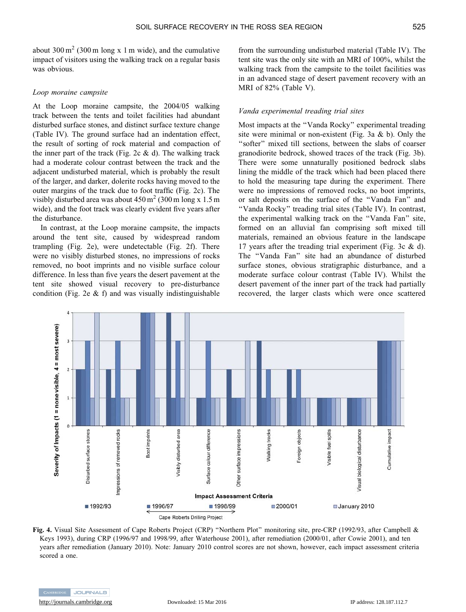about  $300 \text{ m}^2$  (300 m long x 1 m wide), and the cumulative impact of visitors using the walking track on a regular basis was obvious.

#### *Loop moraine campsite*

At the Loop moraine campsite, the 2004/05 walking track between the tents and toilet facilities had abundant disturbed surface stones, and distinct surface texture change (Table IV). The ground surface had an indentation effect, the result of sorting of rock material and compaction of the inner part of the track (Fig. 2c  $\&$  d). The walking track had a moderate colour contrast between the track and the adjacent undisturbed material, which is probably the result of the larger, and darker, dolerite rocks having moved to the outer margins of the track due to foot traffic (Fig. 2c). The visibly disturbed area was about  $450 \text{ m}^2$  (300 m long x 1.5 m) wide), and the foot track was clearly evident five years after the disturbance.

In contrast, at the Loop moraine campsite, the impacts around the tent site, caused by widespread random trampling (Fig. 2e), were undetectable (Fig. 2f). There were no visibly disturbed stones, no impressions of rocks removed, no boot imprints and no visible surface colour difference. In less than five years the desert pavement at the tent site showed visual recovery to pre-disturbance condition (Fig. 2e  $\&$  f) and was visually indistinguishable

from the surrounding undisturbed material (Table IV). The tent site was the only site with an MRI of 100%, whilst the walking track from the campsite to the toilet facilities was in an advanced stage of desert pavement recovery with an MRI of 82% (Table V).

#### *Vanda experimental treading trial sites*

Most impacts at the ''Vanda Rocky'' experimental treading site were minimal or non-existent (Fig. 3a  $&$  b). Only the ''softer'' mixed till sections, between the slabs of coarser granodiorite bedrock, showed traces of the track (Fig. 3b). There were some unnaturally positioned bedrock slabs lining the middle of the track which had been placed there to hold the measuring tape during the experiment. There were no impressions of removed rocks, no boot imprints, or salt deposits on the surface of the ''Vanda Fan'' and ''Vanda Rocky'' treading trial sites (Table IV). In contrast, the experimental walking track on the ''Vanda Fan'' site, formed on an alluvial fan comprising soft mixed till materials, remained an obvious feature in the landscape 17 years after the treading trial experiment (Fig. 3c & d). The ''Vanda Fan'' site had an abundance of disturbed surface stones, obvious stratigraphic disturbance, and a moderate surface colour contrast (Table IV). Whilst the desert pavement of the inner part of the track had partially recovered, the larger clasts which were once scattered



**Fig. 4.** Visual Site Assessment of Cape Roberts Project (CRP) ''Northern Plot'' monitoring site, pre-CRP (1992/93, after Campbell & Keys 1993), during CRP (1996/97 and 1998/99, after Waterhouse 2001), after remediation (2000/01, after Cowie 2001), and ten years after remediation (January 2010). Note: January 2010 control scores are not shown, however, each impact assessment criteria scored a one.

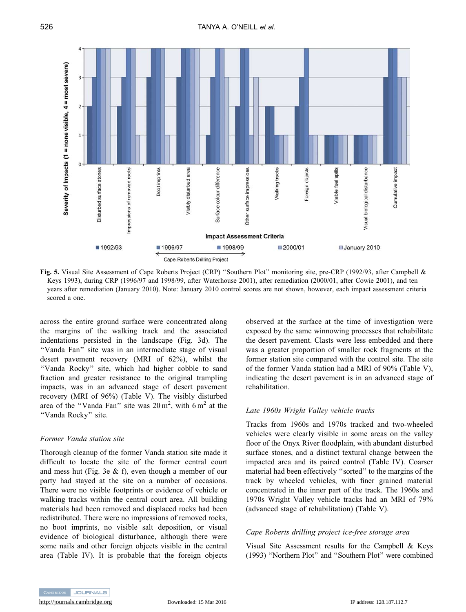

**Fig. 5.** Visual Site Assessment of Cape Roberts Project (CRP) ''Southern Plot'' monitoring site, pre-CRP (1992/93, after Campbell & Keys 1993), during CRP (1996/97 and 1998/99, after Waterhouse 2001), after remediation (2000/01, after Cowie 2001), and ten years after remediation (January 2010). Note: January 2010 control scores are not shown, however, each impact assessment criteria scored a one.

across the entire ground surface were concentrated along the margins of the walking track and the associated indentations persisted in the landscape (Fig. 3d). The ''Vanda Fan'' site was in an intermediate stage of visual desert pavement recovery (MRI of 62%), whilst the "Vanda Rocky" site, which had higher cobble to sand fraction and greater resistance to the original trampling impacts, was in an advanced stage of desert pavement recovery (MRI of 96%) (Table V). The visibly disturbed area of the "Vanda Fan" site was  $20 \text{ m}^2$ , with  $6 \text{ m}^2$  at the ''Vanda Rocky'' site.

### *Former Vanda station site*

Thorough cleanup of the former Vanda station site made it difficult to locate the site of the former central court and mess hut (Fig. 3e & f), even though a member of our party had stayed at the site on a number of occasions. There were no visible footprints or evidence of vehicle or walking tracks within the central court area. All building materials had been removed and displaced rocks had been redistributed. There were no impressions of removed rocks, no boot imprints, no visible salt deposition, or visual evidence of biological disturbance, although there were some nails and other foreign objects visible in the central area (Table IV). It is probable that the foreign objects observed at the surface at the time of investigation were exposed by the same winnowing processes that rehabilitate the desert pavement. Clasts were less embedded and there was a greater proportion of smaller rock fragments at the former station site compared with the control site. The site of the former Vanda station had a MRI of 90% (Table V), indicating the desert pavement is in an advanced stage of rehabilitation.

# *Late 1960s Wright Valley vehicle tracks*

Tracks from 1960s and 1970s tracked and two-wheeled vehicles were clearly visible in some areas on the valley floor of the Onyx River floodplain, with abundant disturbed surface stones, and a distinct textural change between the impacted area and its paired control (Table IV). Coarser material had been effectively ''sorted'' to the margins of the track by wheeled vehicles, with finer grained material concentrated in the inner part of the track. The 1960s and 1970s Wright Valley vehicle tracks had an MRI of 79% (advanced stage of rehabilitation) (Table V).

### *Cape Roberts drilling project ice-free storage area*

Visual Site Assessment results for the Campbell & Keys (1993) ''Northern Plot'' and ''Southern Plot'' were combined

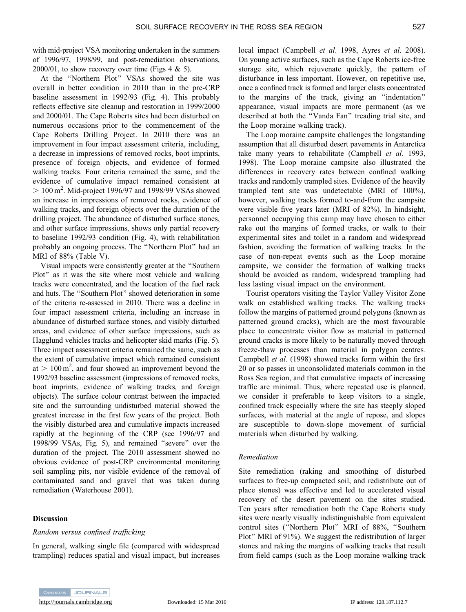with mid-project VSA monitoring undertaken in the summers of 1996/97, 1998/99, and post-remediation observations,  $2000/01$ , to show recovery over time (Figs 4 & 5).

At the ''Northern Plot'' VSAs showed the site was overall in better condition in 2010 than in the pre-CRP baseline assessment in 1992/93 (Fig. 4). This probably reflects effective site cleanup and restoration in 1999/2000 and 2000/01. The Cape Roberts sites had been disturbed on numerous occasions prior to the commencement of the Cape Roberts Drilling Project. In 2010 there was an improvement in four impact assessment criteria, including, a decrease in impressions of removed rocks, boot imprints, presence of foreign objects, and evidence of formed walking tracks. Four criteria remained the same, and the evidence of cumulative impact remained consistent at  $> 100 \,\mathrm{m}^2$ . Mid-project 1996/97 and 1998/99 VSAs showed an increase in impressions of removed rocks, evidence of walking tracks, and foreign objects over the duration of the drilling project. The abundance of disturbed surface stones, and other surface impressions, shows only partial recovery to baseline 1992/93 condition (Fig. 4), with rehabilitation probably an ongoing process. The ''Northern Plot'' had an MRI of 88% (Table V).

Visual impacts were consistently greater at the ''Southern Plot'' as it was the site where most vehicle and walking tracks were concentrated, and the location of the fuel rack and huts. The ''Southern Plot'' showed deterioration in some of the criteria re-assessed in 2010. There was a decline in four impact assessment criteria, including an increase in abundance of disturbed surface stones, and visibly disturbed areas, and evidence of other surface impressions, such as Hagglund vehicles tracks and helicopter skid marks (Fig. 5). Three impact assessment criteria remained the same, such as the extent of cumulative impact which remained consistent at  $> 100 \text{ m}^2$ , and four showed an improvement beyond the 1992/93 baseline assessment (impressions of removed rocks, boot imprints, evidence of walking tracks, and foreign objects). The surface colour contrast between the impacted site and the surrounding undisturbed material showed the greatest increase in the first few years of the project. Both the visibly disturbed area and cumulative impacts increased rapidly at the beginning of the CRP (see 1996/97 and 1998/99 VSAs, Fig. 5), and remained ''severe'' over the duration of the project. The 2010 assessment showed no obvious evidence of post-CRP environmental monitoring soil sampling pits, nor visible evidence of the removal of contaminated sand and gravel that was taken during remediation (Waterhouse 2001).

### **Discussion**

#### *Random versus confined trafficking*

In general, walking single file (compared with widespread trampling) reduces spatial and visual impact, but increases



local impact (Campbell *et al*. 1998, Ayres *et al*. 2008). On young active surfaces, such as the Cape Roberts ice-free storage site, which rejuvenate quickly, the pattern of disturbance in less important. However, on repetitive use, once a confined track is formed and larger clasts concentrated to the margins of the track, giving an ''indentation'' appearance, visual impacts are more permanent (as we described at both the ''Vanda Fan'' treading trial site, and the Loop moraine walking track).

The Loop moraine campsite challenges the longstanding assumption that all disturbed desert pavements in Antarctica take many years to rehabilitate (Campbell *et al*. 1993, 1998). The Loop moraine campsite also illustrated the differences in recovery rates between confined walking tracks and randomly trampled sites. Evidence of the heavily trampled tent site was undetectable (MRI of 100%), however, walking tracks formed to-and-from the campsite were visible five years later (MRI of 82%). In hindsight, personnel occupying this camp may have chosen to either rake out the margins of formed tracks, or walk to their experimental sites and toilet in a random and widespread fashion, avoiding the formation of walking tracks. In the case of non-repeat events such as the Loop moraine campsite, we consider the formation of walking tracks should be avoided as random, widespread trampling had less lasting visual impact on the environment.

Tourist operators visiting the Taylor Valley Visitor Zone walk on established walking tracks. The walking tracks follow the margins of patterned ground polygons (known as patterned ground cracks), which are the most favourable place to concentrate visitor flow as material in patterned ground cracks is more likely to be naturally moved through freeze-thaw processes than material in polygon centres*.* Campbell *et al*. (1998) showed tracks form within the first 20 or so passes in unconsolidated materials common in the Ross Sea region, and that cumulative impacts of increasing traffic are minimal. Thus, where repeated use is planned, we consider it preferable to keep visitors to a single, confined track especially where the site has steeply sloped surfaces, with material at the angle of repose, and slopes are susceptible to down-slope movement of surficial materials when disturbed by walking.

#### *Remediation*

Site remediation (raking and smoothing of disturbed surfaces to free-up compacted soil, and redistribute out of place stones) was effective and led to accelerated visual recovery of the desert pavement on the sites studied. Ten years after remediation both the Cape Roberts study sites were nearly visually indistinguishable from equivalent control sites (''Northern Plot'' MRI of 88%, ''Southern Plot'' MRI of 91%). We suggest the redistribution of larger stones and raking the margins of walking tracks that result from field camps (such as the Loop moraine walking track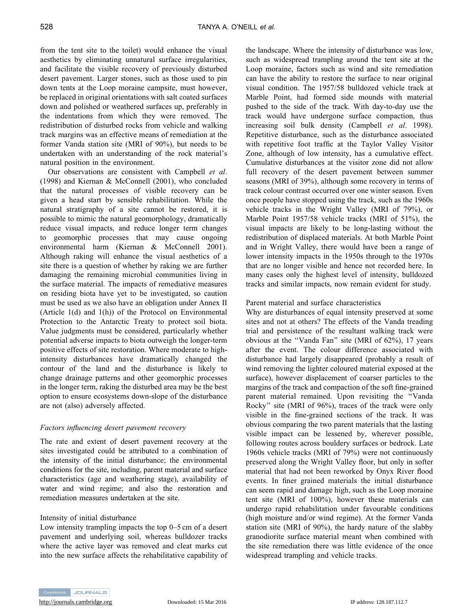from the tent site to the toilet) would enhance the visual aesthetics by eliminating unnatural surface irregularities, and facilitate the visible recovery of previously disturbed desert pavement. Larger stones, such as those used to pin down tents at the Loop moraine campsite, must however, be replaced in original orientations with salt coated surfaces down and polished or weathered surfaces up, preferably in the indentations from which they were removed. The redistribution of disturbed rocks from vehicle and walking track margins was an effective means of remediation at the former Vanda station site (MRI of 90%), but needs to be undertaken with an understanding of the rock material's natural position in the environment.

Our observations are consistent with Campbell *et al*. (1998) and Kiernan & McConnell (2001), who concluded that the natural processes of visible recovery can be given a head start by sensible rehabilitation. While the natural stratigraphy of a site cannot be restored, it is possible to mimic the natural geomorphology, dramatically reduce visual impacts, and reduce longer term changes to geomorphic processes that may cause ongoing environmental harm (Kiernan & McConnell 2001). Although raking will enhance the visual aesthetics of a site there is a question of whether by raking we are further damaging the remaining microbial communities living in the surface material. The impacts of remediative measures on residing biota have yet to be investigated, so caution must be used as we also have an obligation under Annex II (Article 1(d) and 1(h)) of the Protocol on Environmental Protection to the Antarctic Treaty to protect soil biota. Value judgments must be considered, particularly whether potential adverse impacts to biota outweigh the longer-term positive effects of site restoration. Where moderate to highintensity disturbances have dramatically changed the contour of the land and the disturbance is likely to change drainage patterns and other geomorphic processes in the longer term, raking the disturbed area may be the best option to ensure ecosystems down-slope of the disturbance are not (also) adversely affected.

# *Factors influencing desert pavement recovery*

The rate and extent of desert pavement recovery at the sites investigated could be attributed to a combination of the intensity of the initial disturbance; the environmental conditions for the site, including, parent material and surface characteristics (age and weathering stage), availability of water and wind regime; and also the restoration and remediation measures undertaken at the site.

# Intensity of initial disturbance

Low intensity trampling impacts the top 0–5 cm of a desert pavement and underlying soil, whereas bulldozer tracks where the active layer was removed and cleat marks cut into the new surface affects the rehabilitative capability of the landscape. Where the intensity of disturbance was low, such as widespread trampling around the tent site at the Loop moraine, factors such as wind and site remediation can have the ability to restore the surface to near original visual condition. The 1957/58 bulldozed vehicle track at Marble Point, had formed side mounds with material pushed to the side of the track. With day-to-day use the track would have undergone surface compaction, thus increasing soil bulk density (Campbell *et al*. 1998). Repetitive disturbance, such as the disturbance associated with repetitive foot traffic at the Taylor Valley Visitor Zone, although of low intensity, has a cumulative effect. Cumulative disturbances at the visitor zone did not allow full recovery of the desert pavement between summer seasons (MRI of 39%), although some recovery in terms of track colour contrast occurred over one winter season. Even once people have stopped using the track, such as the 1960s vehicle tracks in the Wright Valley (MRI of 79%), or Marble Point 1957/58 vehicle tracks (MRI of 51%), the visual impacts are likely to be long-lasting without the redistribution of displaced materials. At both Marble Point and in Wright Valley, there would have been a range of lower intensity impacts in the 1950s through to the 1970s that are no longer visible and hence not recorded here. In many cases only the highest level of intensity, bulldozed tracks and similar impacts, now remain evident for study.

# Parent material and surface characteristics

Why are disturbances of equal intensity preserved at some sites and not at others? The effects of the Vanda treading trial and persistence of the resultant walking track were obvious at the ''Vanda Fan'' site (MRI of 62%), 17 years after the event. The colour difference associated with disturbance had largely disappeared (probably a result of wind removing the lighter coloured material exposed at the surface), however displacement of coarser particles to the margins of the track and compaction of the soft fine-grained parent material remained. Upon revisiting the ''Vanda Rocky'' site (MRI of 96%), traces of the track were only visible in the fine-grained sections of the track. It was obvious comparing the two parent materials that the lasting visible impact can be lessened by, wherever possible, following routes across bouldery surfaces or bedrock. Late 1960s vehicle tracks (MRI of 79%) were not continuously preserved along the Wright Valley floor, but only in softer material that had not been reworked by Onyx River flood events. In finer grained materials the initial disturbance can seem rapid and damage high, such as the Loop moraine tent site (MRI of 100%), however these materials can undergo rapid rehabilitation under favourable conditions (high moisture and/or wind regime). At the former Vanda station site (MRI of 90%), the hardy nature of the slabby granodiorite surface material meant when combined with the site remediation there was little evidence of the once widespread trampling and vehicle tracks.



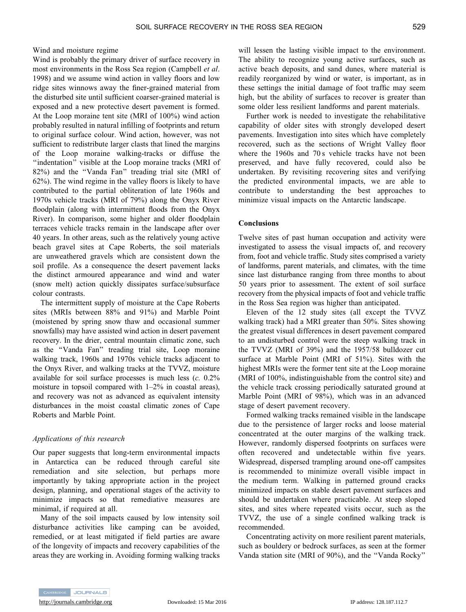Wind and moisture regime

Wind is probably the primary driver of surface recovery in most environments in the Ross Sea region (Campbell *et al*. 1998) and we assume wind action in valley floors and low ridge sites winnows away the finer-grained material from the disturbed site until sufficient coarser-grained material is exposed and a new protective desert pavement is formed. At the Loop moraine tent site (MRI of 100%) wind action probably resulted in natural infilling of footprints and return to original surface colour. Wind action, however, was not sufficient to redistribute larger clasts that lined the margins of the Loop moraine walking-tracks or diffuse the ''indentation'' visible at the Loop moraine tracks (MRI of 82%) and the ''Vanda Fan'' treading trial site (MRI of 62%). The wind regime in the valley floors is likely to have contributed to the partial obliteration of late 1960s and 1970s vehicle tracks (MRI of 79%) along the Onyx River floodplain (along with intermittent floods from the Onyx River). In comparison, some higher and older floodplain terraces vehicle tracks remain in the landscape after over 40 years. In other areas, such as the relatively young active beach gravel sites at Cape Roberts, the soil materials are unweathered gravels which are consistent down the soil profile. As a consequence the desert pavement lacks the distinct armoured appearance and wind and water (snow melt) action quickly dissipates surface/subsurface colour contrasts.

The intermittent supply of moisture at the Cape Roberts sites (MRIs between 88% and 91%) and Marble Point (moistened by spring snow thaw and occasional summer snowfalls) may have assisted wind action in desert pavement recovery. In the drier, central mountain climatic zone, such as the ''Vanda Fan'' treading trial site, Loop moraine walking track, 1960s and 1970s vehicle tracks adjacent to the Onyx River, and walking tracks at the TVVZ, moisture available for soil surface processes is much less (*c.* 0.2% moisture in topsoil compared with 1–2% in coastal areas), and recovery was not as advanced as equivalent intensity disturbances in the moist coastal climatic zones of Cape Roberts and Marble Point.

### *Applications of this research*

Our paper suggests that long-term environmental impacts in Antarctica can be reduced through careful site remediation and site selection, but perhaps more importantly by taking appropriate action in the project design, planning, and operational stages of the activity to minimize impacts so that remediative measures are minimal, if required at all.

Many of the soil impacts caused by low intensity soil disturbance activities like camping can be avoided, remedied, or at least mitigated if field parties are aware of the longevity of impacts and recovery capabilities of the areas they are working in. Avoiding forming walking tracks will lessen the lasting visible impact to the environment. The ability to recognize young active surfaces, such as active beach deposits, and sand dunes, where material is readily reorganized by wind or water, is important, as in these settings the initial damage of foot traffic may seem high, but the ability of surfaces to recover is greater than some older less resilient landforms and parent materials.

Further work is needed to investigate the rehabilitative capability of older sites with strongly developed desert pavements. Investigation into sites which have completely recovered, such as the sections of Wright Valley floor where the 1960s and 70 s vehicle tracks have not been preserved, and have fully recovered, could also be undertaken. By revisiting recovering sites and verifying the predicted environmental impacts, we are able to contribute to understanding the best approaches to minimize visual impacts on the Antarctic landscape.

### **Conclusions**

Twelve sites of past human occupation and activity were investigated to assess the visual impacts of, and recovery from, foot and vehicle traffic. Study sites comprised a variety of landforms, parent materials, and climates, with the time since last disturbance ranging from three months to about 50 years prior to assessment. The extent of soil surface recovery from the physical impacts of foot and vehicle traffic in the Ross Sea region was higher than anticipated.

Eleven of the 12 study sites (all except the TVVZ walking track) had a MRI greater than 50%. Sites showing the greatest visual differences in desert pavement compared to an undisturbed control were the steep walking track in the TVVZ (MRI of 39%) and the 1957/58 bulldozer cut surface at Marble Point (MRI of 51%). Sites with the highest MRIs were the former tent site at the Loop moraine (MRI of 100%, indistinguishable from the control site) and the vehicle track crossing periodically saturated ground at Marble Point (MRI of 98%), which was in an advanced stage of desert pavement recovery.

Formed walking tracks remained visible in the landscape due to the persistence of larger rocks and loose material concentrated at the outer margins of the walking track. However, randomly dispersed footprints on surfaces were often recovered and undetectable within five years. Widespread, dispersed trampling around one-off campsites is recommended to minimize overall visible impact in the medium term. Walking in patterned ground cracks minimized impacts on stable desert pavement surfaces and should be undertaken where practicable. At steep sloped sites, and sites where repeated visits occur, such as the TVVZ, the use of a single confined walking track is recommended.

Concentrating activity on more resilient parent materials, such as bouldery or bedrock surfaces, as seen at the former Vanda station site (MRI of 90%), and the ''Vanda Rocky''